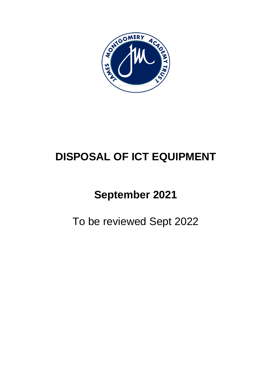

# **DISPOSAL OF ICT EQUIPMENT**

# **September 2021**

To be reviewed Sept 2022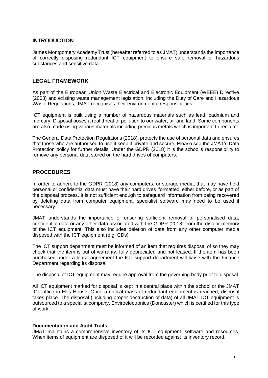### **INTRODUCTION**

James Montgomery Academy Trust (hereafter referred to as JMAT) understands the importance of correctly disposing redundant ICT equipment to ensure safe removal of hazardous substances and sensitive data.

### **LEGAL FRAMEWORK**

As part of the European Union Waste Electrical and Electronic Equipment (WEEE) Directive (2003) and existing waste management legislation, including the Duty of Care and Hazardous Waste Regulations, JMAT recognises their environmental responsibilities.

ICT equipment is built using a number of hazardous materials such as lead, cadmium and mercury. Disposal poses a real threat of pollution to our water, air and land. Some components are also made using various materials including precious metals which is important to reclaim.

The General Data Protection Regulations (2018), protects the use of personal data and ensures that those who are authorised to use it keep it private and secure. Please see the JMAT's Data Protection policy for further details. Under the GDPR (2018) it is the school's responsibility to remove any personal data stored on the hard drives of computers.

### **PROCEDURES**

In order to adhere to the GDPR (2018) any computers, or storage media, that may have held personal or confidential data must have their hard drives 'formatted' either before, or as part of the disposal process. It is not sufficient enough to safeguard information from being recovered by deleting data from computer equipment, specialist software may need to be used if necessary.

JMAT understands the importance of ensuring sufficient removal of personalised data, confidential data or any other data associated with the GDPR (2018) from the disc or memory of the ICT equipment. This also includes deletion of data from any other computer media disposed with the ICT equipment (e.g. CDs).

The ICT support department must be informed of an item that requires disposal of so they may check that the item is out of warranty, fully depreciated and not leased. If the item has been purchased under a lease agreement the ICT support department will liaise with the Finance Department regarding its disposal.

The disposal of ICT equipment may require approval from the governing body prior to disposal.

All ICT equipment marked for disposal is kept in a central place within the school or the JMAT ICT office in Ellis House. Once a critical mass of redundant equipment is reached, disposal takes place. The disposal (including proper destruction of data) of all JMAT ICT equipment is outsourced to a specialist company, Enviroelectronics (Doncaster) which is certified for this type of work.

#### **Documentation and Audit Trails**

JMAT maintains a comprehensive inventory of its ICT equipment, software and resources. When items of equipment are disposed of it will be recorded against its inventory record.